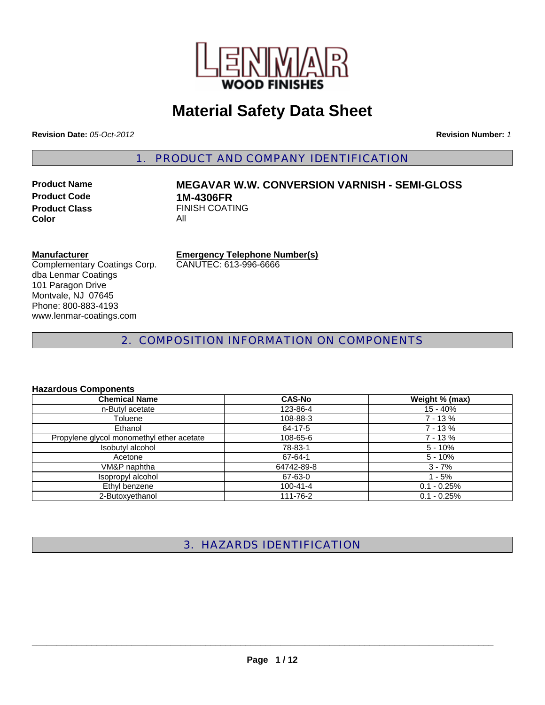

# **Material Safety Data Sheet**

**Revision Date:** *05-Oct-2012* **Revision Number:** *1*

1. PRODUCT AND COMPANY IDENTIFICATION

**Product Code 1M-4306FR**<br>**Product Class 1M-4306FR Color** All

# **Product Name MEGAVAR W.W. CONVERSION VARNISH - SEMI-GLOSS FINISH COATING**

# **Manufacturer**

Complementary Coatings Corp. dba Lenmar Coatings 101 Paragon Drive Montvale, NJ 07645 Phone: 800-883-4193 www.lenmar-coatings.com

**Emergency Telephone Number(s)** CANUTEC: 613-996-6666

2. COMPOSITION INFORMATION ON COMPONENTS

## **Hazardous Components**

| <b>Chemical Name</b>                      | <b>CAS-No</b> | Weight % (max) |
|-------------------------------------------|---------------|----------------|
| n-Butyl acetate                           | 123-86-4      | $15 - 40%$     |
| Toluene                                   | 108-88-3      | $7 - 13%$      |
| Ethanol                                   | 64-17-5       | $7 - 13%$      |
| Propylene glycol monomethyl ether acetate | 108-65-6      | $7 - 13%$      |
| Isobutyl alcohol                          | 78-83-1       | $5 - 10%$      |
| Acetone                                   | 67-64-1       | $5 - 10%$      |
| VM&P naphtha                              | 64742-89-8    | $3 - 7%$       |
| Isopropyl alcohol                         | 67-63-0       | $1 - 5%$       |
| Ethyl benzene                             | 100-41-4      | $0.1 - 0.25%$  |
| 2-Butoxyethanol                           | 111-76-2      | $0.1 - 0.25%$  |

3. HAZARDS IDENTIFICATION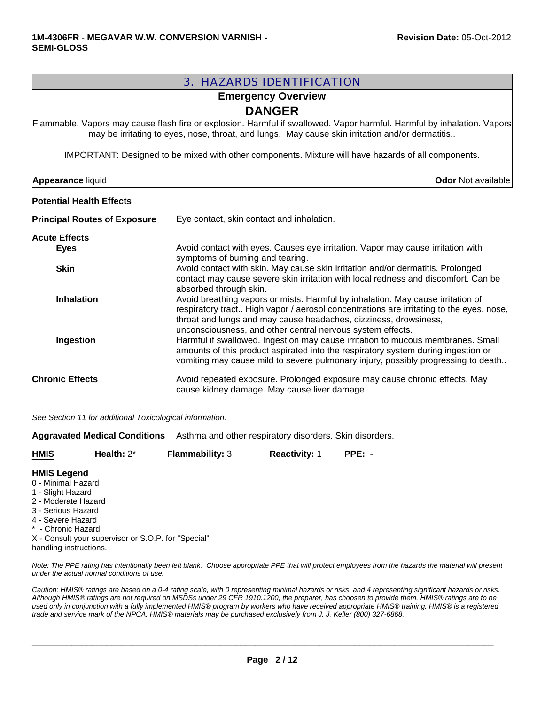| <b>3. HAZARDS IDENTIFICATION</b>                                                                                                                                                                                           |                                                                                                                                                                                                      |  |  |
|----------------------------------------------------------------------------------------------------------------------------------------------------------------------------------------------------------------------------|------------------------------------------------------------------------------------------------------------------------------------------------------------------------------------------------------|--|--|
| <b>Emergency Overview</b>                                                                                                                                                                                                  |                                                                                                                                                                                                      |  |  |
|                                                                                                                                                                                                                            | <b>DANGER</b>                                                                                                                                                                                        |  |  |
| Flammable. Vapors may cause flash fire or explosion. Harmful if swallowed. Vapor harmful. Harmful by inhalation. Vapors<br>may be irritating to eyes, nose, throat, and lungs. May cause skin irritation and/or dermatitis |                                                                                                                                                                                                      |  |  |
|                                                                                                                                                                                                                            | IMPORTANT: Designed to be mixed with other components. Mixture will have hazards of all components.                                                                                                  |  |  |
| <b>Appearance liquid</b>                                                                                                                                                                                                   | <b>Odor</b> Not available                                                                                                                                                                            |  |  |
| <b>Potential Health Effects</b>                                                                                                                                                                                            |                                                                                                                                                                                                      |  |  |
| <b>Principal Routes of Exposure</b>                                                                                                                                                                                        | Eye contact, skin contact and inhalation.                                                                                                                                                            |  |  |
| <b>Acute Effects</b>                                                                                                                                                                                                       |                                                                                                                                                                                                      |  |  |
| <b>Eyes</b>                                                                                                                                                                                                                | Avoid contact with eyes. Causes eye irritation. Vapor may cause irritation with                                                                                                                      |  |  |
| <b>Skin</b>                                                                                                                                                                                                                | symptoms of burning and tearing.<br>Avoid contact with skin. May cause skin irritation and/or dermatitis. Prolonged                                                                                  |  |  |
|                                                                                                                                                                                                                            | contact may cause severe skin irritation with local redness and discomfort. Can be                                                                                                                   |  |  |
| <b>Inhalation</b>                                                                                                                                                                                                          | absorbed through skin.<br>Avoid breathing vapors or mists. Harmful by inhalation. May cause irritation of<br>respiratory tract High vapor / aerosol concentrations are irritating to the eyes, nose, |  |  |
|                                                                                                                                                                                                                            | throat and lungs and may cause headaches, dizziness, drowsiness,                                                                                                                                     |  |  |
| Ingestion                                                                                                                                                                                                                  | unconsciousness, and other central nervous system effects.<br>Harmful if swallowed. Ingestion may cause irritation to mucous membranes. Small                                                        |  |  |
|                                                                                                                                                                                                                            | amounts of this product aspirated into the respiratory system during ingestion or<br>vomiting may cause mild to severe pulmonary injury, possibly progressing to death                               |  |  |
| <b>Chronic Effects</b>                                                                                                                                                                                                     | Avoid repeated exposure. Prolonged exposure may cause chronic effects. May                                                                                                                           |  |  |
|                                                                                                                                                                                                                            | cause kidney damage. May cause liver damage.                                                                                                                                                         |  |  |

*See Section 11 for additional Toxicological information.*

**Aggravated Medical Conditions** Asthma and other respiratory disorders. Skin disorders.

| <b>Flammability: 3</b><br>$PPE: -$<br>Health: $2^*$<br><b>Reactivity: 1</b> | <b>HMIS</b> |
|-----------------------------------------------------------------------------|-------------|
|-----------------------------------------------------------------------------|-------------|

#### **HMIS Legend**

- 0 Minimal Hazard
- 1 Slight Hazard
- 2 Moderate Hazard
- 3 Serious Hazard
- 4 Severe Hazard
- \* Chronic Hazard
- X Consult your supervisor or S.O.P. for "Special" handling instructions.

*Note: The PPE rating has intentionally been left blank. Choose appropriate PPE that will protect employees from the hazards the material will present under the actual normal conditions of use.*

*Caution: HMIS® ratings are based on a 0-4 rating scale, with 0 representing minimal hazards or risks, and 4 representing significant hazards or risks. Although HMIS® ratings are not required on MSDSs under 29 CFR 1910.1200, the preparer, has choosen to provide them. HMIS® ratings are to be used only in conjunction with a fully implemented HMIS® program by workers who have received appropriate HMIS® training. HMIS® is a registered trade and service mark of the NPCA. HMIS® materials may be purchased exclusively from J. J. Keller (800) 327-6868.*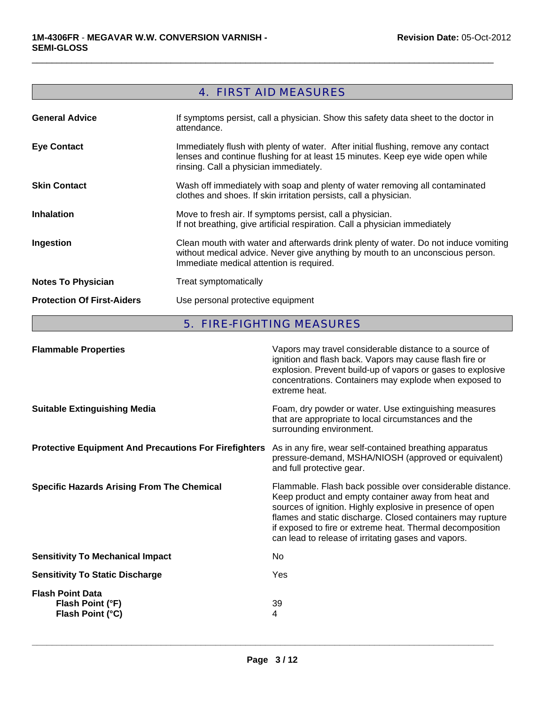# 4. FIRST AID MEASURES

 $\Box$ 

| <b>General Advice</b>             | If symptoms persist, call a physician. Show this safety data sheet to the doctor in<br>attendance.                                                                                                                |
|-----------------------------------|-------------------------------------------------------------------------------------------------------------------------------------------------------------------------------------------------------------------|
| <b>Eye Contact</b>                | Immediately flush with plenty of water. After initial flushing, remove any contact<br>lenses and continue flushing for at least 15 minutes. Keep eye wide open while<br>rinsing. Call a physician immediately.    |
| <b>Skin Contact</b>               | Wash off immediately with soap and plenty of water removing all contaminated<br>clothes and shoes. If skin irritation persists, call a physician.                                                                 |
| <b>Inhalation</b>                 | Move to fresh air. If symptoms persist, call a physician.<br>If not breathing, give artificial respiration. Call a physician immediately                                                                          |
| Ingestion                         | Clean mouth with water and afterwards drink plenty of water. Do not induce vomiting<br>without medical advice. Never give anything by mouth to an unconscious person.<br>Immediate medical attention is required. |
| <b>Notes To Physician</b>         | Treat symptomatically                                                                                                                                                                                             |
| <b>Protection Of First-Aiders</b> | Use personal protective equipment                                                                                                                                                                                 |

5. FIRE-FIGHTING MEASURES

| <b>Flammable Properties</b>                                     | Vapors may travel considerable distance to a source of<br>ignition and flash back. Vapors may cause flash fire or<br>explosion. Prevent build-up of vapors or gases to explosive<br>concentrations. Containers may explode when exposed to<br>extreme heat.                                                                                                      |
|-----------------------------------------------------------------|------------------------------------------------------------------------------------------------------------------------------------------------------------------------------------------------------------------------------------------------------------------------------------------------------------------------------------------------------------------|
| <b>Suitable Extinguishing Media</b>                             | Foam, dry powder or water. Use extinguishing measures<br>that are appropriate to local circumstances and the<br>surrounding environment.                                                                                                                                                                                                                         |
| <b>Protective Equipment And Precautions For Firefighters</b>    | As in any fire, wear self-contained breathing apparatus<br>pressure-demand, MSHA/NIOSH (approved or equivalent)<br>and full protective gear.                                                                                                                                                                                                                     |
| <b>Specific Hazards Arising From The Chemical</b>               | Flammable. Flash back possible over considerable distance.<br>Keep product and empty container away from heat and<br>sources of ignition. Highly explosive in presence of open<br>flames and static discharge. Closed containers may rupture<br>if exposed to fire or extreme heat. Thermal decomposition<br>can lead to release of irritating gases and vapors. |
| <b>Sensitivity To Mechanical Impact</b>                         | No.                                                                                                                                                                                                                                                                                                                                                              |
| <b>Sensitivity To Static Discharge</b>                          | Yes                                                                                                                                                                                                                                                                                                                                                              |
| <b>Flash Point Data</b><br>Flash Point (°F)<br>Flash Point (°C) | 39<br>4                                                                                                                                                                                                                                                                                                                                                          |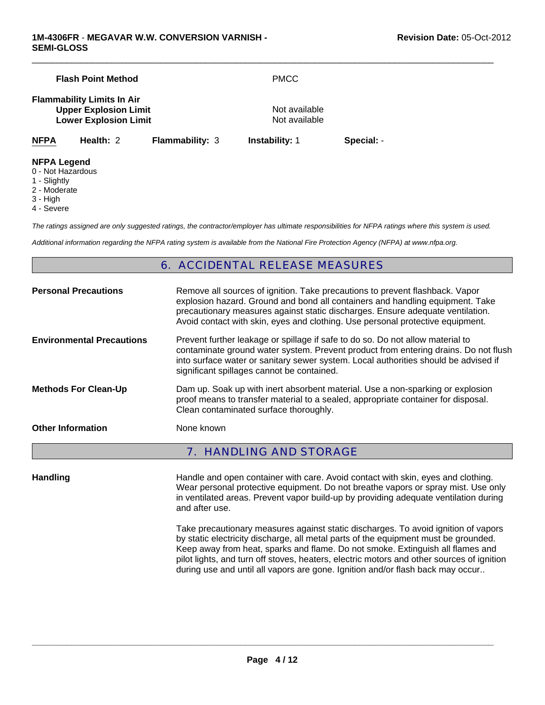|                                                         | <b>Flash Point Method</b>                                                                         |                        | <b>PMCC</b>                    |            |
|---------------------------------------------------------|---------------------------------------------------------------------------------------------------|------------------------|--------------------------------|------------|
|                                                         | <b>Flammability Limits In Air</b><br><b>Upper Explosion Limit</b><br><b>Lower Explosion Limit</b> |                        | Not available<br>Not available |            |
| <b>NFPA</b>                                             | Health: 2                                                                                         | <b>Flammability: 3</b> | <b>Instability: 1</b>          | Special: - |
| <b>NFPA Legend</b><br>0 - Not Hazardous<br>1 - Slightly |                                                                                                   |                        |                                |            |

- 1 Slightly
- 2 Moderate
- 3 High
- 4 Severe

*The ratings assigned are only suggested ratings, the contractor/employer has ultimate responsibilities for NFPA ratings where this system is used.*

*Additional information regarding the NFPA rating system is available from the National Fire Protection Agency (NFPA) at www.nfpa.org.*

# 6. ACCIDENTAL RELEASE MEASURES

| <b>Personal Precautions</b>      | Remove all sources of ignition. Take precautions to prevent flashback. Vapor<br>explosion hazard. Ground and bond all containers and handling equipment. Take<br>precautionary measures against static discharges. Ensure adequate ventilation.<br>Avoid contact with skin, eyes and clothing. Use personal protective equipment. |
|----------------------------------|-----------------------------------------------------------------------------------------------------------------------------------------------------------------------------------------------------------------------------------------------------------------------------------------------------------------------------------|
| <b>Environmental Precautions</b> | Prevent further leakage or spillage if safe to do so. Do not allow material to<br>contaminate ground water system. Prevent product from entering drains. Do not flush<br>into surface water or sanitary sewer system. Local authorities should be advised if<br>significant spillages cannot be contained.                        |
| <b>Methods For Clean-Up</b>      | Dam up. Soak up with inert absorbent material. Use a non-sparking or explosion<br>proof means to transfer material to a sealed, appropriate container for disposal.<br>Clean contaminated surface thoroughly.                                                                                                                     |
| <b>Other Information</b>         | None known                                                                                                                                                                                                                                                                                                                        |
|                                  | <b>7. HANDLING AND STORAGE</b>                                                                                                                                                                                                                                                                                                    |

Handling **Handle and open container with care. Avoid contact with skin, eyes and clothing.** Wear personal protective equipment. Do not breathe vapors or spray mist. Use only in ventilated areas. Prevent vapor build-up by providing adequate ventilation during and after use.

> Take precautionary measures against static discharges. To avoid ignition of vapors by static electricity discharge, all metal parts of the equipment must be grounded. Keep away from heat, sparks and flame. Do not smoke. Extinguish all flames and pilot lights, and turn off stoves, heaters, electric motors and other sources of ignition during use and until all vapors are gone. Ignition and/or flash back may occur..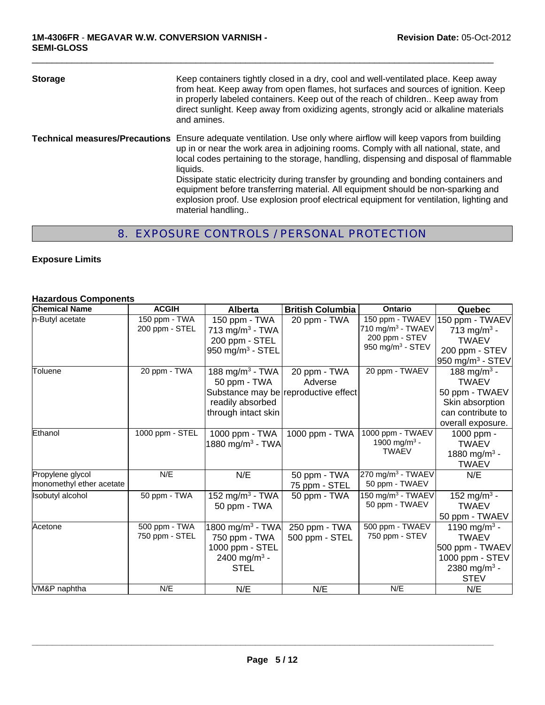| <b>Storage</b> | Keep containers tightly closed in a dry, cool and well-ventilated place. Keep away<br>from heat. Keep away from open flames, hot surfaces and sources of ignition. Keep<br>in properly labeled containers. Keep out of the reach of children Keep away from<br>direct sunlight. Keep away from oxidizing agents, strongly acid or alkaline materials<br>and amines.                                                                                                                                                                                                                                               |
|----------------|-------------------------------------------------------------------------------------------------------------------------------------------------------------------------------------------------------------------------------------------------------------------------------------------------------------------------------------------------------------------------------------------------------------------------------------------------------------------------------------------------------------------------------------------------------------------------------------------------------------------|
|                | <b>Technical measures/Precautions</b> Ensure adequate ventilation. Use only where airflow will keep vapors from building<br>up in or near the work area in adjoining rooms. Comply with all national, state, and<br>local codes pertaining to the storage, handling, dispensing and disposal of flammable<br>liquids.<br>Dissipate static electricity during transfer by grounding and bonding containers and<br>equipment before transferring material. All equipment should be non-sparking and<br>explosion proof. Use explosion proof electrical equipment for ventilation, lighting and<br>material handling |

# 8. EXPOSURE CONTROLS / PERSONAL PROTECTION

## **Exposure Limits**

#### **Hazardous Components**

| <b>Chemical Name</b>                         | <b>ACGIH</b>                    | <b>Alberta</b>                                                                                                                 | <b>British Columbia</b>         | <b>Ontario</b>                                                                                     | Quebec                                                                                                                    |
|----------------------------------------------|---------------------------------|--------------------------------------------------------------------------------------------------------------------------------|---------------------------------|----------------------------------------------------------------------------------------------------|---------------------------------------------------------------------------------------------------------------------------|
| n-Butyl acetate                              | 150 ppm - TWA<br>200 ppm - STEL | 150 ppm - TWA<br>713 mg/m <sup>3</sup> - TWA<br>200 ppm - STEL<br>950 mg/m $3$ - STEL                                          | 20 ppm - TWA                    | 150 ppm - TWAEV<br>710 mg/m <sup>3</sup> - TWAEV<br>200 ppm - STEV<br>950 mg/m <sup>3</sup> - STEV | 150 ppm - TWAEV<br>713 mg/m <sup>3</sup> -<br><b>TWAEV</b><br>200 ppm - STEV<br>950 mg/m <sup>3</sup> - STEV              |
| Toluene                                      | 20 ppm - TWA                    | 188 mg/m <sup>3</sup> - TWA<br>50 ppm - TWA<br>Substance may be reproductive effect<br>readily absorbed<br>through intact skin | 20 ppm - TWA<br>Adverse         | 20 ppm - TWAEV                                                                                     | 188 mg/m <sup>3</sup> -<br><b>TWAEV</b><br>50 ppm - TWAEV<br>Skin absorption<br>can contribute to<br>overall exposure.    |
| Ethanol                                      | 1000 ppm - STEL                 | 1000 ppm - TWA<br>1880 mg/m <sup>3</sup> - TWA                                                                                 | 1000 ppm - TWA                  | 1000 ppm - TWAEV<br>1900 mg/m <sup>3</sup> -<br><b>TWAEV</b>                                       | 1000 ppm -<br><b>TWAEV</b><br>1880 mg/m <sup>3</sup> -<br><b>TWAEV</b>                                                    |
| Propylene glycol<br>monomethyl ether acetate | N/E                             | N/E                                                                                                                            | 50 ppm - TWA<br>75 ppm - STEL   | 270 mg/m <sup>3</sup> - TWAEV<br>50 ppm - TWAEV                                                    | N/E                                                                                                                       |
| Isobutyl alcohol                             | 50 ppm - TWA                    | 152 mg/m <sup>3</sup> - TWA<br>50 ppm - TWA                                                                                    | 50 ppm - TWA                    | 150 mg/m $3$ - TWAEV<br>50 ppm - TWAEV                                                             | 152 mg/m <sup>3</sup> -<br><b>TWAEV</b><br>50 ppm - TWAEV                                                                 |
| Acetone                                      | 500 ppm - TWA<br>750 ppm - STEL | 1800 mg/m <sup>3</sup> - TWA<br>750 ppm - TWA<br>1000 ppm - STEL<br>2400 mg/m <sup>3</sup> -<br><b>STEL</b>                    | 250 ppm - TWA<br>500 ppm - STEL | 500 ppm - TWAEV<br>750 ppm - STEV                                                                  | 1190 mg/m <sup>3</sup> -<br><b>TWAEV</b><br>500 ppm - TWAEV<br>1000 ppm - STEV<br>2380 mg/m <sup>3</sup> -<br><b>STEV</b> |
| VM&P naphtha                                 | N/E                             | N/E                                                                                                                            | N/E                             | N/E                                                                                                | N/E                                                                                                                       |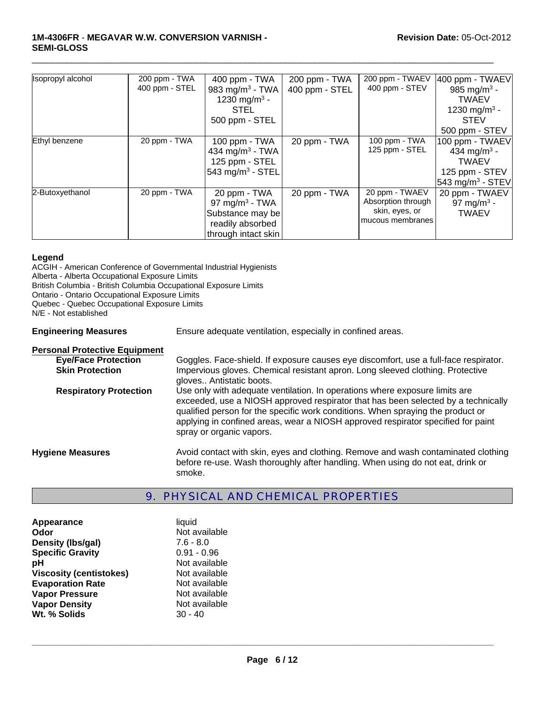#### **1M-4306FR** - **MEGAVAR W.W. CONVERSION VARNISH - SEMI-GLOSS**

| Isopropyl alcohol | 200 ppm - TWA  | 400 ppm - TWA                | 200 ppm - TWA  | 200 ppm - TWAEV    | 400 ppm - TWAEV              |
|-------------------|----------------|------------------------------|----------------|--------------------|------------------------------|
|                   | 400 ppm - STEL | 983 mg/m <sup>3</sup> - TWA  | 400 ppm - STEL | 400 ppm - STEV     | 985 mg/m <sup>3</sup> -      |
|                   |                | 1230 mg/m <sup>3</sup> -     |                |                    | <b>TWAEV</b>                 |
|                   |                | <b>STEL</b>                  |                |                    | 1230 mg/m <sup>3</sup> -     |
|                   |                | 500 ppm - STEL               |                |                    | <b>STEV</b>                  |
|                   |                |                              |                |                    | 500 ppm - STEV               |
| Ethyl benzene     | 20 ppm - TWA   | 100 ppm $-$ TWA              | 20 ppm - TWA   | 100 ppm - TWA      | 100 ppm - TWAEV              |
|                   |                | 434 mg/m <sup>3</sup> - TWA  |                | 125 ppm - STEL     | 434 mg/m <sup>3</sup> -      |
|                   |                | 125 ppm - STEL               |                |                    | <b>TWAEV</b>                 |
|                   |                | 543 mg/m <sup>3</sup> - STEL |                |                    | 125 ppm - STEV               |
|                   |                |                              |                |                    | 543 mg/m <sup>3</sup> - STEV |
| 2-Butoxyethanol   | 20 ppm - TWA   | 20 ppm - TWA                 | 20 ppm - TWA   | 20 ppm - TWAEV     | 20 ppm - TWAEV               |
|                   |                | 97 mg/m <sup>3</sup> - TWA   |                | Absorption through | 97 mg/m <sup>3</sup> -       |
|                   |                | Substance may be             |                | skin, eyes, or     | <b>TWAEV</b>                 |
|                   |                | readily absorbed             |                | mucous membranes   |                              |
|                   |                | through intact skin          |                |                    |                              |

 $\Box$ 

#### **Legend**

ACGIH - American Conference of Governmental Industrial Hygienists Alberta - Alberta Occupational Exposure Limits British Columbia - British Columbia Occupational Exposure Limits Ontario - Ontario Occupational Exposure Limits Quebec - Quebec Occupational Exposure Limits N/E - Not established **Engineering Measures** Ensure adequate ventilation, especially in confined areas. **Personal Protective Equipment Eye/Face Protection** Goggles. Face-shield. If exposure causes eye discomfort, use a full-face respirator. **Skin Protection** Impervious gloves. Chemical resistant apron. Long sleeved clothing. Protective gloves.. Antistatic boots.

**Respiratory Protection** Use only with adequate ventilation. In operations where exposure limits are exceeded, use a NIOSH approved respirator that has been selected by a technically qualified person for the specific work conditions. When spraying the product or applying in confined areas, wear a NIOSH approved respirator specified for paint spray or organic vapors.

**Hygiene Measures** Avoid contact with skin, eyes and clothing. Remove and wash contaminated clothing before re-use. Wash thoroughly after handling. When using do not eat, drink or smoke.

# 9. PHYSICAL AND CHEMICAL PROPERTIES

| Appearance                     | liquid        |
|--------------------------------|---------------|
| Odor                           | Not available |
| Density (Ibs/gal)              | $7.6 - 8.0$   |
| <b>Specific Gravity</b>        | $0.91 - 0.96$ |
| рH                             | Not available |
| <b>Viscosity (centistokes)</b> | Not available |
| <b>Evaporation Rate</b>        | Not available |
| <b>Vapor Pressure</b>          | Not available |
| <b>Vapor Density</b>           | Not available |
| Wt. % Solids                   | $30 - 40$     |
|                                |               |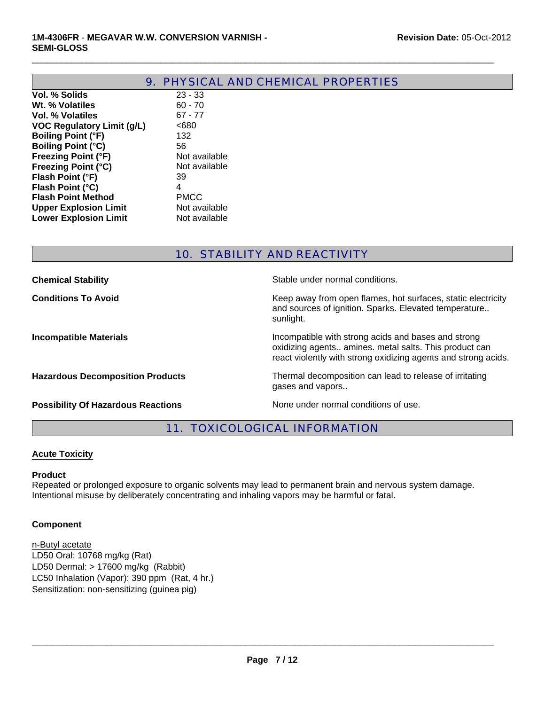|                                   | 9. PHYSICAL AND CHEMICAL PROPERTIES |
|-----------------------------------|-------------------------------------|
| Vol. % Solids                     | $23 - 33$                           |
| Wt. % Volatiles                   | $60 - 70$                           |
| Vol. % Volatiles                  | $67 - 77$                           |
| <b>VOC Regulatory Limit (g/L)</b> | <680                                |
| <b>Boiling Point (°F)</b>         | 132                                 |
| <b>Boiling Point (°C)</b>         | 56                                  |
| <b>Freezing Point (°F)</b>        | Not available                       |
| <b>Freezing Point (°C)</b>        | Not available                       |
| Flash Point (°F)                  | 39                                  |
| Flash Point (°C)                  | 4                                   |
| <b>Flash Point Method</b>         | <b>PMCC</b>                         |
| <b>Upper Explosion Limit</b>      | Not available                       |
| <b>Lower Explosion Limit</b>      | Not available                       |

# 10. STABILITY AND REACTIVITY

| <b>Chemical Stability</b>                 | Stable under normal conditions.                                                                                                                                                 |
|-------------------------------------------|---------------------------------------------------------------------------------------------------------------------------------------------------------------------------------|
| <b>Conditions To Avoid</b>                | Keep away from open flames, hot surfaces, static electricity<br>and sources of ignition. Sparks. Elevated temperature<br>sunlight.                                              |
| <b>Incompatible Materials</b>             | Incompatible with strong acids and bases and strong<br>oxidizing agents amines. metal salts. This product can<br>react violently with strong oxidizing agents and strong acids. |
| <b>Hazardous Decomposition Products</b>   | Thermal decomposition can lead to release of irritating<br>gases and vapors                                                                                                     |
| <b>Possibility Of Hazardous Reactions</b> | None under normal conditions of use.                                                                                                                                            |

11. TOXICOLOGICAL INFORMATION

## **Acute Toxicity**

## **Product**

Repeated or prolonged exposure to organic solvents may lead to permanent brain and nervous system damage. Intentional misuse by deliberately concentrating and inhaling vapors may be harmful or fatal.

# **Component**

Sensitization: non-sensitizing (guinea pig) LD50 Oral: 10768 mg/kg (Rat) LD50 Dermal: > 17600 mg/kg (Rabbit) n-Butyl acetate LC50 Inhalation (Vapor): 390 ppm (Rat, 4 hr.)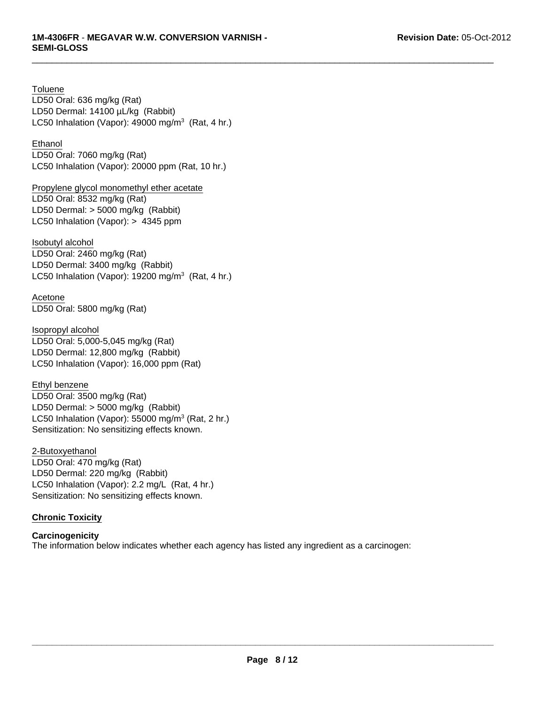LC50 Inhalation (Vapor):  $49000$  mg/m<sup>3</sup> (Rat, 4 hr.) LD50 Oral: 636 mg/kg (Rat) LD50 Dermal: 14100 µL/kg (Rabbit) **Toluene** 

# Ethanol

LD50 Oral: 7060 mg/kg (Rat) LC50 Inhalation (Vapor): 20000 ppm (Rat, 10 hr.)

LD50 Dermal: > 5000 mg/kg (Rabbit) LC50 Inhalation (Vapor): > 4345 ppm Propylene glycol monomethyl ether acetate LD50 Oral: 8532 mg/kg (Rat)

Isobutyl alcohol LD50 Oral: 2460 mg/kg (Rat) LD50 Dermal: 3400 mg/kg (Rabbit) LC50 Inhalation (Vapor): 19200 mg/m $3$  (Rat, 4 hr.)

Acetone LD50 Oral: 5800 mg/kg (Rat)

LD50 Dermal: 12,800 mg/kg (Rabbit) LC50 Inhalation (Vapor): 16,000 ppm (Rat) Isopropyl alcohol LD50 Oral: 5,000-5,045 mg/kg (Rat)

Ethyl benzene LD50 Oral: 3500 mg/kg (Rat) LD50 Dermal: > 5000 mg/kg (Rabbit) LC50 Inhalation (Vapor): 55000 mg/m<sup>3</sup> (Rat, 2 hr.) Sensitization: No sensitizing effects known.

2-Butoxyethanol LD50 Oral: 470 mg/kg (Rat) LD50 Dermal: 220 mg/kg (Rabbit) LC50 Inhalation (Vapor): 2.2 mg/L (Rat, 4 hr.) Sensitization: No sensitizing effects known.

## **Chronic Toxicity**

**Carcinogenicity** The information below indicates whether each agency has listed any ingredient as a carcinogen: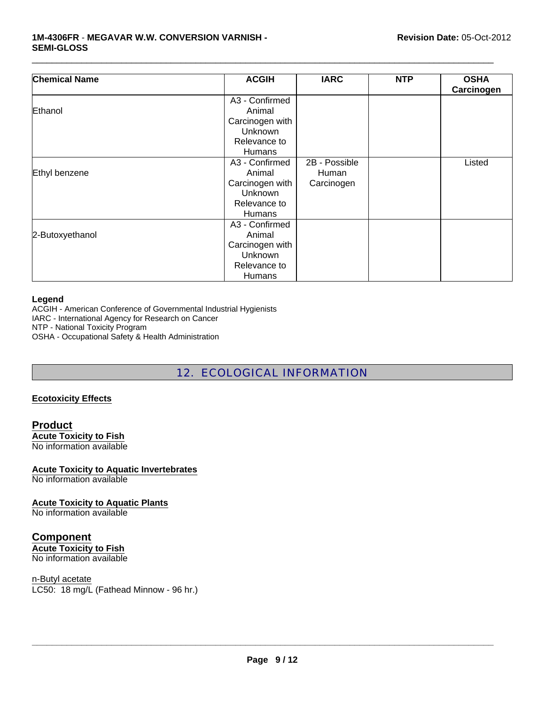#### **1M-4306FR** - **MEGAVAR W.W. CONVERSION VARNISH - SEMI-GLOSS**

| <b>Chemical Name</b> | <b>ACGIH</b>    | <b>IARC</b>   | <b>NTP</b> | <b>OSHA</b> |
|----------------------|-----------------|---------------|------------|-------------|
|                      |                 |               |            | Carcinogen  |
|                      | A3 - Confirmed  |               |            |             |
| Ethanol              | Animal          |               |            |             |
|                      | Carcinogen with |               |            |             |
|                      | Unknown         |               |            |             |
|                      | Relevance to    |               |            |             |
|                      | <b>Humans</b>   |               |            |             |
|                      | A3 - Confirmed  | 2B - Possible |            | Listed      |
| Ethyl benzene        | Animal          | Human         |            |             |
|                      | Carcinogen with | Carcinogen    |            |             |
|                      | Unknown         |               |            |             |
|                      | Relevance to    |               |            |             |
|                      | <b>Humans</b>   |               |            |             |
|                      | A3 - Confirmed  |               |            |             |
| 2-Butoxyethanol      | Animal          |               |            |             |
|                      | Carcinogen with |               |            |             |
|                      | Unknown         |               |            |             |
|                      | Relevance to    |               |            |             |
|                      | <b>Humans</b>   |               |            |             |

 $\Box$ 

#### **Legend**

ACGIH - American Conference of Governmental Industrial Hygienists

IARC - International Agency for Research on Cancer

NTP - National Toxicity Program

OSHA - Occupational Safety & Health Administration

# 12. ECOLOGICAL INFORMATION

#### **Ecotoxicity Effects**

**Product Acute Toxicity to Fish** No information available

# **Acute Toxicity to Aquatic Invertebrates**

No information available

# **Acute Toxicity to Aquatic Plants**

No information available

# **Component**

**Acute Toxicity to Fish** No information available

#### n-Butyl acetate

LC50: 18 mg/L (Fathead Minnow - 96 hr.)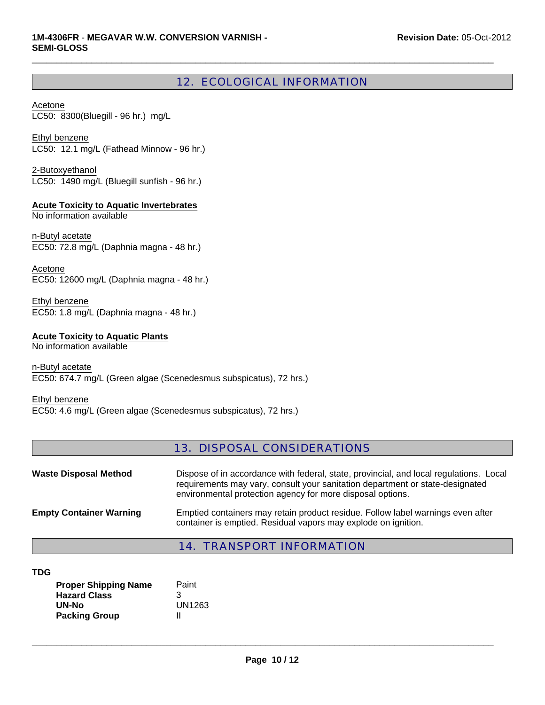# 12. ECOLOGICAL INFORMATION

 $\Box$ 

Acetone LC50: 8300(Bluegill - 96 hr.) mg/L

Ethyl benzene LC50: 12.1 mg/L (Fathead Minnow - 96 hr.)

LC50: 1490 mg/L (Bluegill sunfish - 96 hr.) 2-Butoxyethanol

**Acute Toxicity to Aquatic Invertebrates**

No information available

n-Butyl acetate EC50: 72.8 mg/L (Daphnia magna - 48 hr.)

Acetone EC50: 12600 mg/L (Daphnia magna - 48 hr.)

EC50: 1.8 mg/L (Daphnia magna - 48 hr.) Ethyl benzene

## **Acute Toxicity to Aquatic Plants**

No information available

n-Butyl acetate EC50: 674.7 mg/L (Green algae (Scenedesmus subspicatus), 72 hrs.)

Ethyl benzene EC50: 4.6 mg/L (Green algae (Scenedesmus subspicatus), 72 hrs.)

# 13. DISPOSAL CONSIDERATIONS

| <b>Waste Disposal Method</b>   | Dispose of in accordance with federal, state, provincial, and local regulations. Local<br>requirements may vary, consult your sanitation department or state-designated<br>environmental protection agency for more disposal options. |
|--------------------------------|---------------------------------------------------------------------------------------------------------------------------------------------------------------------------------------------------------------------------------------|
| <b>Empty Container Warning</b> | Emptied containers may retain product residue. Follow label warnings even after<br>container is emptied. Residual vapors may explode on ignition.                                                                                     |

# 14. TRANSPORT INFORMATION

| <b>Proper Shipping Name</b> | Paint  |
|-----------------------------|--------|
| <b>Hazard Class</b>         | З      |
| UN-No                       | UN1263 |
| <b>Packing Group</b>        | Ш      |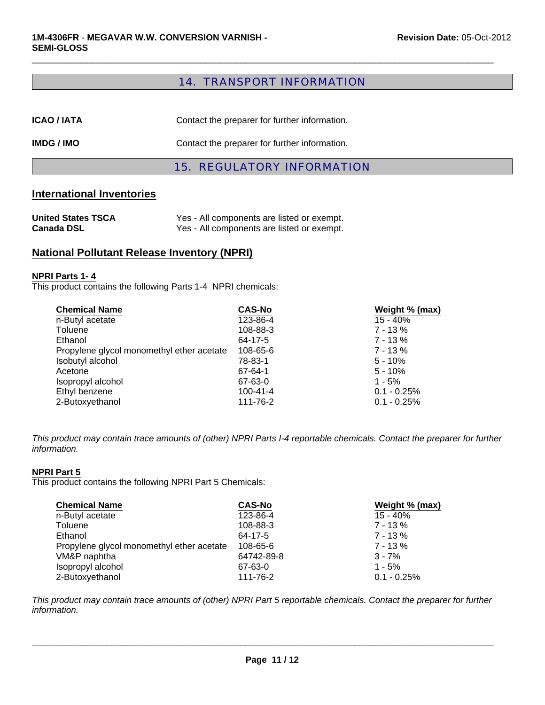# 14. TRANSPORT INFORMATION

 $\Box$ 

| IMDG / IMO         | Contact the preparer for further information. |
|--------------------|-----------------------------------------------|
| <b>ICAO / IATA</b> | Contact the preparer for further information. |

# 15. REGULATORY INFORMATION

## **International Inventories**

| <b>United States TSCA</b> | Yes - All components are listed or exempt. |
|---------------------------|--------------------------------------------|
| <b>Canada DSL</b>         | Yes - All components are listed or exempt. |

# **National Pollutant Release Inventory (NPRI)**

#### **NPRI Parts 1- 4**

This product contains the following Parts 1-4 NPRI chemicals:

| <b>Chemical Name</b>                      | <b>CAS-No</b>  | Weight % (max) |
|-------------------------------------------|----------------|----------------|
| n-Butyl acetate                           | 123-86-4       | 15 - 40%       |
| Toluene                                   | 108-88-3       | $7 - 13%$      |
| Ethanol                                   | 64-17-5        | $7 - 13 \%$    |
| Propylene glycol monomethyl ether acetate | 108-65-6       | $7 - 13\%$     |
| Isobutyl alcohol                          | 78-83-1        | $5 - 10%$      |
| Acetone                                   | 67-64-1        | $5 - 10%$      |
| Isopropyl alcohol                         | 67-63-0        | $1 - 5%$       |
| Ethyl benzene                             | $100 - 41 - 4$ | $0.1 - 0.25%$  |
| 2-Butoxyethanol                           | 111-76-2       | $0.1 - 0.25%$  |

*This product may contain trace amounts of (other) NPRI Parts I-4 reportable chemicals. Contact the preparer for further information.*

#### **NPRI Part 5**

This product contains the following NPRI Part 5 Chemicals:

| <b>Chemical Name</b>                      | <b>CAS-No</b> | Weight % (max) |
|-------------------------------------------|---------------|----------------|
| n-Butyl acetate                           | 123-86-4      | 15 - 40%       |
| Toluene                                   | 108-88-3      | $7 - 13%$      |
| Ethanol                                   | 64-17-5       | 7 - 13 %       |
| Propylene glycol monomethyl ether acetate | 108-65-6      | $7 - 13%$      |
| VM&P naphtha                              | 64742-89-8    | $3 - 7%$       |
| Isopropyl alcohol                         | 67-63-0       | $1 - 5%$       |
| 2-Butoxyethanol                           | 111-76-2      | $0.1 - 0.25%$  |

*This product may contain trace amounts of (other) NPRI Part 5 reportable chemicals. Contact the preparer for further information.*